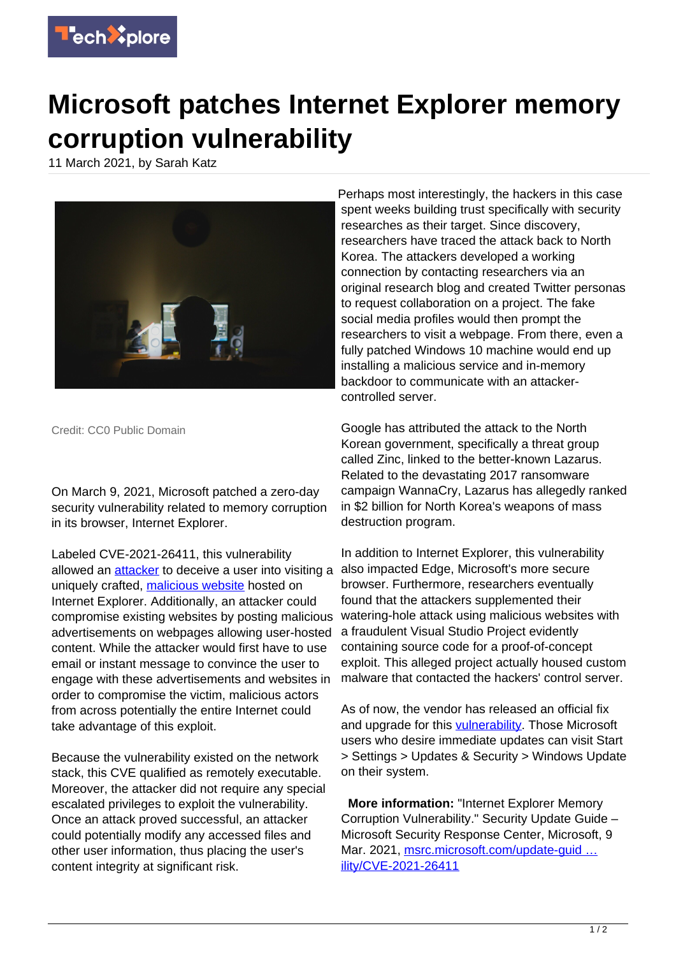

## **Microsoft patches Internet Explorer memory corruption vulnerability**

11 March 2021, by Sarah Katz



Credit: CC0 Public Domain

On March 9, 2021, Microsoft patched a zero-day security vulnerability related to memory corruption in its browser, Internet Explorer.

Labeled CVE-2021-26411, this vulnerability allowed an **[attacker](https://techxplore.com/tags/attacker/)** to deceive a user into visiting a uniquely crafted, [malicious website](https://techxplore.com/tags/malicious+website/) hosted on Internet Explorer. Additionally, an attacker could compromise existing websites by posting malicious advertisements on webpages allowing user-hosted content. While the attacker would first have to use email or instant message to convince the user to engage with these advertisements and websites in order to compromise the victim, malicious actors from across potentially the entire Internet could take advantage of this exploit.

Because the vulnerability existed on the network stack, this CVE qualified as remotely executable. Moreover, the attacker did not require any special escalated privileges to exploit the vulnerability. Once an attack proved successful, an attacker could potentially modify any accessed files and other user information, thus placing the user's content integrity at significant risk.

Perhaps most interestingly, the hackers in this case spent weeks building trust specifically with security researches as their target. Since discovery, researchers have traced the attack back to North Korea. The attackers developed a working connection by contacting researchers via an original research blog and created Twitter personas to request collaboration on a project. The fake social media profiles would then prompt the researchers to visit a webpage. From there, even a fully patched Windows 10 machine would end up installing a malicious service and in-memory backdoor to communicate with an attackercontrolled server.

Google has attributed the attack to the North Korean government, specifically a threat group called Zinc, linked to the better-known Lazarus. Related to the devastating 2017 ransomware campaign WannaCry, Lazarus has allegedly ranked in \$2 billion for North Korea's weapons of mass destruction program.

In addition to Internet Explorer, this vulnerability also impacted Edge, Microsoft's more secure browser. Furthermore, researchers eventually found that the attackers supplemented their watering-hole attack using malicious websites with a fraudulent Visual Studio Project evidently containing source code for a proof-of-concept exploit. This alleged project actually housed custom malware that contacted the hackers' control server.

As of now, the vendor has released an official fix and upgrade for this [vulnerability](https://techxplore.com/tags/vulnerability/). Those Microsoft users who desire immediate updates can visit Start > Settings > Updates & Security > Windows Update on their system.

 **More information:** "Internet Explorer Memory Corruption Vulnerability." Security Update Guide – Microsoft Security Response Center, Microsoft, 9 Mar. 2021, msrc.microsoft.com/update-guid ... [ility/CVE-2021-26411](https://msrc.microsoft.com/update-guide/vulnerability/CVE-2021-26411)